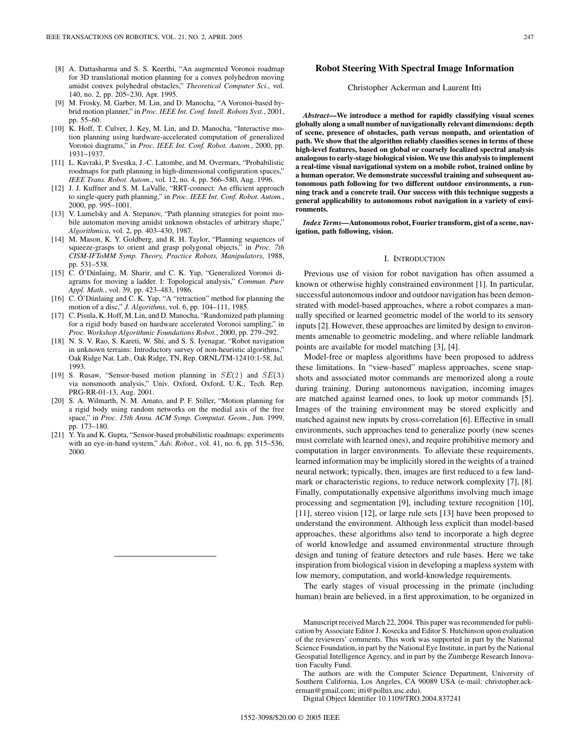- [8] A. Dattasharma and S. S. Keerthi, "An augmented Voronoi roadmap for 3D translational motion planning for a convex polyhedron moving amidst convex polyhedral obstacles," *Theoretical Computer Sci.*, vol. 140, no. 2, pp. 205–230, Apr. 1995.
- [9] M. Frosky, M. Garber, M. Lin, and D. Manocha, "A Voronoi-based hybrid motion planner," in *Proc. IEEE Int. Conf. Intell. Robots Syst.*, 2001, pp. 55–60.
- [10] K. Hoff, T. Culver, J. Key, M. Lin, and D. Manocha, "Interactive motion planning using hardware-accelerated computation of generalized Voronoi diagrams," in *Proc. IEEE Int. Conf. Robot. Autom.*, 2000, pp. 1931–1937.
- [11] L. Kavraki, P. Svestka, J.-C. Latombe, and M. Overmars, "Probabilistic roodmaps for path planning in high-dimensional configuration spaces," *IEEE Trans. Robot. Autom.*, vol. 12, no. 4, pp. 566–580, Aug. 1996.
- [12] J. J. Kuffner and S. M. LaValle, "RRT-connect: An efficient approach to single-query path planning," in *Proc. IEEE Int. Conf. Robot. Autom.*, 2000, pp. 995–1001.
- [13] V. Lumelsky and A. Stepanov, "Path planning strategies for point mobile automaton moving amidst unknown obstacles of arbitrary shape," *Algorithmica*, vol. 2, pp. 403–430, 1987.
- [14] M. Mason, K. Y. Goldberg, and R. H. Taylor, "Planning sequences of squeeze-grasps to orient and grasp polygonal objects," in *Proc. 7th CISM-IFToMM Symp. Theory,Practice Robots,Manipulators*, 1988, pp. 531–538.
- [15] C. Ó'Dúnlaing, M. Sharir, and C. K. Yap, "Generalized Voronoi diagrams for moving a ladder. I: Topological analysis," *Commun. Pure Appl. Math.*, vol. 39, pp. 423–483, 1986.
- [16] C. Ó'Dúnlaing and C. K. Yap, "A "retraction" method for planning the motionof a disc," *J. Algorithms*, vol. 6, pp. 104–111, 1985.
- [17] C. Pisula, K. Hoff, M. Lin, and D. Manocha, "Randomized path planning for a rigid body based on hardware accelerated Voronoi sampling," in *Proc. Workshop Algorithmic Foundations Robot.*, 2000, pp. 279–292.
- [18] N. S. V. Rao, S. Kareti, W. Shi, and S. S. Iyenagar, "Robot navigation in unknown terrains: Introductory survey of non-heuristic algorithms," Oak Ridge Nat. Lab., Oak Ridge, TN, Rep. ORNL/TM-12410:1-58, Jul. 1993.
- [19] S. Rusaw, "Sensor-based motion planning in  $SE(2)$  and  $SE(3)$ via nonsmooth analysis," Univ. Oxford, Oxford, U.K., Tech. Rep. PRG-RR-01-13, Aug. 2001.
- [20] S. A. Wilmarth, N. M. Amato, and P. F. Stiller, "Motion planning for a rigid body using random networks on the medial axis of the free space," in *Proc. 15th Annu. ACM Symp. Computat. Geom.*, Jun. 1999, pp. 173–180.
- [21] Y. Yu and K. Gupta, "Sensor-based probabilistic roadmaps: experiments with an eye-in-hand system," *Adv. Robot.*, vol. 41, no. 6, pp. 515–536, 2000.

## **Robot Steering With Spectral Image Information**

### Christopher Ackerman and Laurent Itti

*Abstract—***We introduce a method for rapidly classifying visual scenes globally along a small number of navigationally relevant dimensions: depth of scene, presence of obstacles, path versus nonpath, and orientation of path. We show that the algorithm reliably classifies scenes in terms of these high-level features, based on global or coarsely localized spectral analysis analogous to early-stage biological vision. We use this analysis to implement a real-time visual navigational system on a mobile robot, trained online by a human operator. We demonstrate successful training and subsequent autonomous path following for two different outdoor environments, a running track and a concrete trail. Our success with this technique suggests a general applicability to autonomous robot navigation in a variety of environments.**

*Index Terms—***Autonomous robot, Fourier transform, gist of a scene, navigation, path following, vision.**

#### I. INTRODUCTION

Previous use of vision for robot navigation has often assumed a known or otherwise highly constrained environment [1]. In particular, successful autonomous indoor and outdoor navigation has been demonstrated with model-based approaches, where a robot compares a manually specified or learned geometric model of the world to its sensory inputs [2]. However, these approaches are limited by design to environments amenable to geometric modeling, and where reliable landmark points are available for model matching [3], [4].

Model-free or mapless algorithms have been proposed to address these limitations. In "view-based" mapless approaches, scene snapshots and associated motor commands are memorized along a route during training. During autonomous navigation, incoming images are matched against learned ones, to look up motor commands [5]. Images of the training environment may be stored explicitly and matched against new inputs by cross-correlation [6]. Effective in small environments, such approaches tend to generalize poorly (new scenes must correlate with learned ones), and require prohibitive memory and computation in larger environments. To alleviate these requirements, learned information may be implicitly stored in the weights of a trained neural network; typically, then, images are first reduced to a few landmark or characteristic regions, to reduce network complexity [7], [8]. Finally, computationally expensive algorithms involving much image processing and segmentation [9], including texture recognition [10], [11], stereo vision [12], or large rule sets [13] have been proposed to understand the environment. Although less explicit than model-based approaches, these algorithms also tend to incorporate a high degree of world knowledge and assumed environmental structure through design and tuning of feature detectors and rule bases. Here we take inspiration from biological vision in developing a mapless system with low memory, computation, and world-knowledge requirements.

The early stages of visual processing in the primate (including human) brain are believed, in a first approximation, to be organized in

The authors are with the Computer Science Department, University of Southern California, Los Angeles, CA 90089 USA (e-mail: christopher.ackerman@gmail.com; itti@pollux.usc.edu).

Digital Object Identifier 10.1109/TRO.2004.837241

Manuscript received March 22, 2004. This paper was recommended for publication by Associate Editor J. Kosecka and Editor S. Hutchinson upon evaluation of the reviewers' comments. This work was supported in part by the National Science Foundation, in part by the National Eye Institute, in part by the National Geospatial Intelligence Agency, and in part by the Zumberge Research Innovation Faculty Fund.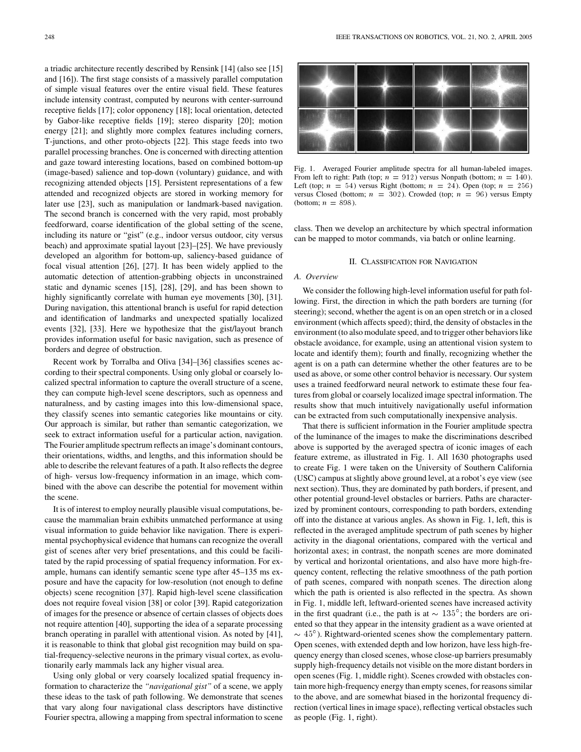a triadic architecture recently described by Rensink [14] (also see [15] and [16]). The first stage consists of a massively parallel computation of simple visual features over the entire visual field. These features include intensity contrast, computed by neurons with center-surround receptive fields [17]; color opponency [18]; local orientation, detected by Gabor-like receptive fields [19]; stereo disparity [20]; motion energy [21]; and slightly more complex features including corners, T-junctions, and other proto-objects [22]. This stage feeds into two parallel processing branches. One is concerned with directing attention and gaze toward interesting locations, based on combined bottom-up (image-based) salience and top-down (voluntary) guidance, and with recognizing attended objects [15]. Persistent representations of a few attended and recognized objects are stored in working memory for later use [23], such as manipulation or landmark-based navigation. The second branch is concerned with the very rapid, most probably feedforward, coarse identification of the global setting of the scene, including its nature or "gist" (e.g., indoor versus outdoor, city versus beach) and approximate spatial layout [23]–[25]. We have previously developed an algorithm for bottom-up, saliency-based guidance of focal visual attention [26], [27]. It has been widely applied to the automatic detection of attention-grabbing objects in unconstrained static and dynamic scenes [15], [28], [29], and has been shown to highly significantly correlate with human eye movements [30], [31]. During navigation, this attentional branch is useful for rapid detection and identification of landmarks and unexpected spatially localized events [32], [33]. Here we hypothesize that the gist/layout branch provides information useful for basic navigation, such as presence of borders and degree of obstruction.

Recent work by Torralba and Oliva [34]–[36] classifies scenes according to their spectral components. Using only global or coarsely localized spectral information to capture the overall structure of a scene, they can compute high-level scene descriptors, such as openness and naturalness, and by casting images into this low-dimensional space, they classify scenes into semantic categories like mountains or city. Our approach is similar, but rather than semantic categorization, we seek to extract information useful for a particular action, navigation. The Fourier amplitude spectrum reflects an image's dominant contours, their orientations, widths, and lengths, and this information should be able to describe the relevant features of a path. It also reflects the degree of high- versus low-frequency information in an image, which combined with the above can describe the potential for movement within the scene.

It is of interest to employ neurally plausible visual computations, because the mammalian brain exhibits unmatched performance at using visual information to guide behavior like navigation. There is experimental psychophysical evidence that humans can recognize the overall gist of scenes after very brief presentations, and this could be facilitated by the rapid processing of spatial frequency information. For example, humans can identify semantic scene type after 45–135 ms exposure and have the capacity for low-resolution (not enough to define objects) scene recognition [37]. Rapid high-level scene classification does not require foveal vision [38] or color [39]. Rapid categorization of images for the presence or absence of certain classes of objects does not require attention [40], supporting the idea of a separate processing branch operating in parallel with attentional vision. As noted by [41], it is reasonable to think that global gist recognition may build on spatial-frequency-selective neurons in the primary visual cortex, as evolutionarily early mammals lack any higher visual area.

Using only global or very coarsely localized spatial frequency information to characterize the *"navigational gist"* of a scene, we apply these ideas to the task of path following. We demonstrate that scenes that vary along four navigational class descriptors have distinctive Fourier spectra, allowing a mapping from spectral information to scene



Fig. 1. Averaged Fourier amplitude spectra for all human-labeled images. From left to right: Path (top;  $n = 912$ ) versus Nonpath (bottom;  $n = 140$ ). Left (top;  $n = 54$ ) versus Right (bottom;  $n = 24$ ). Open (top;  $n = 256$ ) versus Closed (bottom;  $n = 302$ ). Crowded (top;  $n = 96$ ) versus Empty (bottom;  $n = 898$ ).

class. Then we develop an architecture by which spectral information can be mapped to motor commands, via batch or online learning.

# II. CLASSIFICATION FOR NAVIGATION

## *A. Overview*

We consider the following high-level information useful for path following. First, the direction in which the path borders are turning (for steering); second, whether the agent is on an open stretch or in a closed environment (which affects speed); third, the density of obstacles in the environment (to also modulate speed, and to trigger other behaviors like obstacle avoidance, for example, using an attentional vision system to locate and identify them); fourth and finally, recognizing whether the agent is on a path can determine whether the other features are to be used as above, or some other control behavior is necessary. Our system uses a trained feedforward neural network to estimate these four features from global or coarsely localized image spectral information. The results show that much intuitively navigationally useful information can be extracted from such computationally inexpensive analysis.

That there is sufficient information in the Fourier amplitude spectra of the luminance of the images to make the discriminations described above is supported by the averaged spectra of iconic images of each feature extreme, as illustrated in Fig. 1. All 1630 photographs used to create Fig. 1 were taken on the University of Southern California (USC) campus at slightly above ground level, at a robot's eye view (see next section). Thus, they are dominated by path borders, if present, and other potential ground-level obstacles or barriers. Paths are characterized by prominent contours, corresponding to path borders, extending off into the distance at various angles. As shown in Fig. 1, left, this is reflected in the averaged amplitude spectrum of path scenes by higher activity in the diagonal orientations, compared with the vertical and horizontal axes; in contrast, the nonpath scenes are more dominated by vertical and horizontal orientations, and also have more high-frequency content, reflecting the relative smoothness of the path portion of path scenes, compared with nonpath scenes. The direction along which the path is oriented is also reflected in the spectra. As shown in Fig. 1, middle left, leftward-oriented scenes have increased activity in the first quadrant (i.e., the path is at  $\sim 135^{\circ}$ ; the borders are oriented so that they appear in the intensity gradient as a wave oriented at  $\sim$  45<sup>°</sup>). Rightward-oriented scenes show the complementary pattern. Open scenes, with extended depth and low horizon, have less high-frequency energy than closed scenes, whose close-up barriers presumably supply high-frequency details not visible on the more distant borders in open scenes (Fig. 1, middle right). Scenes crowded with obstacles contain more high-frequency energy than empty scenes, for reasons similar to the above, and are somewhat biased in the horizontal frequency direction (vertical lines in image space), reflecting vertical obstacles such as people (Fig. 1, right).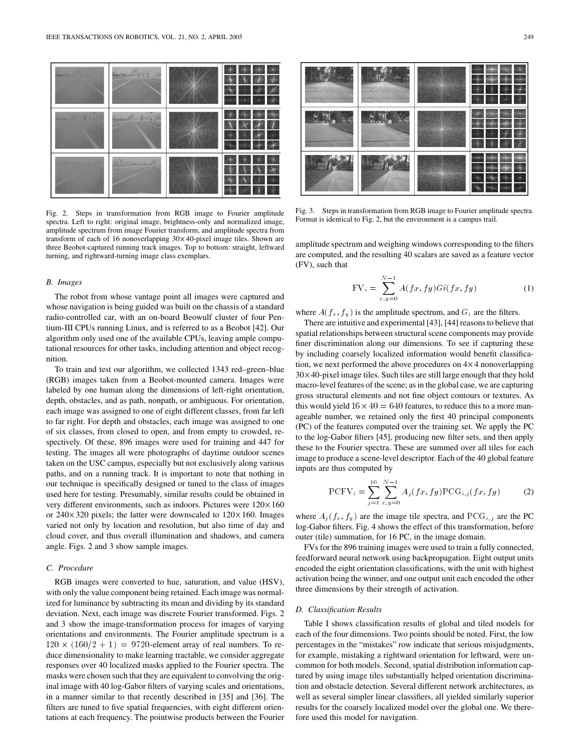

Fig. 2. Steps in transformation from RGB image to Fourier amplitude spectra. Left to right: original image, brightness-only and normalized image, amplitude spectrum from image Fourier transform, and amplitude spectra from transform of each of 16 nonoverlapping  $30 \times 40$ -pixel image tiles. Shown are three Beobot-captured running track images. Top to bottom: straight, leftward turning, and rightward-turning image class exemplars.

#### *B. Images*

The robot from whose vantage point all images were captured and whose navigation is being guided was built on the chassis of a standard radio-controlled car, with an on-board Beowulf cluster of four Pentium-III CPUs running Linux, and is referred to as a Beobot [42]. Our algorithm only used one of the available CPUs, leaving ample computational resources for other tasks, including attention and object recognition.

To train and test our algorithm, we collected 1343 red–green–blue (RGB) images taken from a Beobot-mounted camera. Images were labeled by one human along the dimensions of left-right orientation, depth, obstacles, and as path, nonpath, or ambiguous. For orientation, each image was assigned to one of eight different classes, from far left to far right. For depth and obstacles, each image was assigned to one of six classes, from closed to open, and from empty to crowded, respectively. Of these, 896 images were used for training and 447 for testing. The images all were photographs of daytime outdoor scenes taken on the USC campus, especially but not exclusively along various paths, and on a running track. It is important to note that nothing in our technique is specifically designed or tuned to the class of images used here for testing. Presumably, similar results could be obtained in very different environments, such as indoors. Pictures were  $120 \times 160$ or  $240 \times 320$  pixels; the latter were downscaled to  $120 \times 160$ . Images varied not only by location and resolution, but also time of day and cloud cover, and thus overall illumination and shadows, and camera angle. Figs. 2 and 3 show sample images.

### *C. Procedure*

RGB images were converted to hue, saturation, and value (HSV), with only the value component being retained. Each image was normalized for luminance by subtracting its mean and dividing by its standard deviation. Next, each image was discrete Fourier transformed. Figs. 2 and 3 show the image-transformation process for images of varying orientations and environments. The Fourier amplitude spectrum is a  $120 \times (160/2 + 1) = 9720$ -element array of real numbers. To reduce dimensionality to make learning tractable, we consider aggregate responses over 40 localized masks applied to the Fourier spectra. The masks were chosen such that they are equivalent to convolving the original image with 40 log-Gabor filters of varying scales and orientations, in a manner similar to that recently described in [35] and [36]. The filters are tuned to five spatial frequencies, with eight different orientations at each frequency. The pointwise products between the Fourier



Fig. 3. Steps in transformation from RGB image to Fourier amplitude spectra. Format is identical to Fig. 2, but the environment is a campus trail.

amplitude spectrum and weighing windows corresponding to the filters are computed, and the resulting 40 scalars are saved as a feature vector<br>(FV), such that  $N-1$ (FV), such that

$$
FV_i = \sum_{x,y=0}^{N-1} A(fx, fy)Gi(fx, fy)
$$
 (1)

where  $A(f_x, f_y)$  is the amplitude spectrum, and  $G_i$  are the filters.

There are intuitive and experimental [43], [44] reasons to believe that spatial relationships between structural scene components may provide finer discrimination along our dimensions. To see if capturing these by including coarsely localized information would benefit classification, we next performed the above procedures on  $4 \times 4$  nonoverlapping 30-40-pixel image tiles. Such tiles are still large enough that they hold macro-level features of the scene; as in the global case, we are capturing gross structural elements and not fine object contours or textures. As this would yield  $16 \times 40 = 640$  features, to reduce this to a more manageable number, we retained only the first 40 principal components (PC) of the features computed over the training set. We apply the PC to the log-Gabor filters [45], producing new filter sets, and then apply these to the Fourier spectra. These are summed over all tiles for each image to produce a scene-level descriptor. Each of the 40 global feature<br>inputs are thus computed by<br> $16 \quad N-1$ inputs are thus computed by

$$
PCFV_i = \sum_{j=1}^{16} \sum_{x,y=0}^{N-1} A_j(fx, fy) PCG_{i,j}(fx, fy)
$$
 (2)

where  $A_j(f_x, f_y)$  are the image tile spectra, and PCG<sub>i,j</sub> are the PC log-Gabor filters. Fig. 4 shows the effect of this transformation, before outer (tile) summation, for 16 PC, in the image domain.

FVs for the 896 training images were used to train a fully connected, feedforward neural network using backpropagation. Eight output units encoded the eight orientation classifications, with the unit with highest activation being the winner, and one output unit each encoded the other three dimensions by their strength of activation.

#### *D. Classification Results*

Table I shows classification results of global and tiled models for each of the four dimensions. Two points should be noted. First, the low percentages in the "mistakes" row indicate that serious misjudgments, for example, mistaking a rightward orientation for leftward, were uncommon for both models. Second, spatial distribution information captured by using image tiles substantially helped orientation discrimination and obstacle detection. Several different network architectures, as well as several simpler linear classifiers, all yielded similarly superior results for the coarsely localized model over the global one. We therefore used this model for navigation.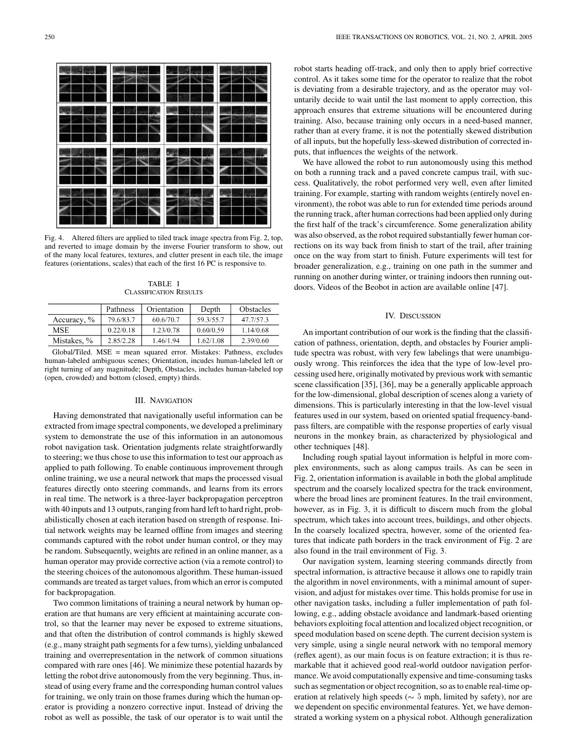

Fig. 4. Altered filters are applied to tiled track image spectra from Fig. 2, top, and reverted to image domain by the inverse Fourier transform to show, out of the many local features, textures, and clutter present in each tile, the image features (orientations, scales) that each of the first 16 PC is responsive to.

TABLE I CLASSIFICATION RESULTS

|                | <b>Pathness</b> | Orientation | Depth     | <b>Obstacles</b> |
|----------------|-----------------|-------------|-----------|------------------|
| Accuracy, $\%$ | 79.6/83.7       | 60.6/70.7   | 59.3/55.7 | 47.7/57.3        |
| MSE.           | 0.22/0.18       | 1.23/0.78   | 0.60/0.59 | 1.14/0.68        |
| Mistakes, %    | 2.85/2.28       | 1.46/1.94   | 1.62/1.08 | 2.39/0.60        |

Global/Tiled. MSE = mean squared error. Mistakes: Pathness, excludes human-labeled ambiguous scenes; Orientation, incudes human-labeled left or right turning of any magnitude; Depth, Obstacles, includes human-labeled top (open, crowded) and bottom (closed, empty) thirds.

#### III. NAVIGATION

Having demonstrated that navigationally useful information can be extracted from image spectral components, we developed a preliminary system to demonstrate the use of this information in an autonomous robot navigation task. Orientation judgments relate straightforwardly to steering; we thus chose to use this information to test our approach as applied to path following. To enable continuous improvement through online training, we use a neural network that maps the processed visual features directly onto steering commands, and learns from its errors in real time. The network is a three-layer backpropagation perceptron with 40 inputs and 13 outputs, ranging from hard left to hard right, probabilistically chosen at each iteration based on strength of response. Initial network weights may be learned offline from images and steering commands captured with the robot under human control, or they may be random. Subsequently, weights are refined in an online manner, as a human operator may provide corrective action (via a remote control) to the steering choices of the autonomous algorithm. These human-issued commands are treated as target values, from which an error is computed for backpropagation.

Two common limitations of training a neural network by human operation are that humans are very efficient at maintaining accurate control, so that the learner may never be exposed to extreme situations, and that often the distribution of control commands is highly skewed (e.g., many straight path segments for a few turns), yielding unbalanced training and overrepresentation in the network of common situations compared with rare ones [46]. We minimize these potential hazards by letting the robot drive autonomously from the very beginning. Thus, instead of using every frame and the corresponding human control values for training, we only train on those frames during which the human operator is providing a nonzero corrective input. Instead of driving the robot as well as possible, the task of our operator is to wait until the

robot starts heading off-track, and only then to apply brief corrective control. As it takes some time for the operator to realize that the robot is deviating from a desirable trajectory, and as the operator may voluntarily decide to wait until the last moment to apply correction, this approach ensures that extreme situations will be encountered during training. Also, because training only occurs in a need-based manner, rather than at every frame, it is not the potentially skewed distribution of all inputs, but the hopefully less-skewed distribution of corrected inputs, that influences the weights of the network.

We have allowed the robot to run autonomously using this method on both a running track and a paved concrete campus trail, with success. Qualitatively, the robot performed very well, even after limited training. For example, starting with random weights (entirely novel environment), the robot was able to run for extended time periods around the running track, after human corrections had been applied only during the first half of the track's circumference. Some generalization ability was also observed, as the robot required substantially fewer human corrections on its way back from finish to start of the trail, after training once on the way from start to finish. Future experiments will test for broader generalization, e.g., training on one path in the summer and running on another during winter, or training indoors then running outdoors. Videos of the Beobot in action are available online [47].

### IV. DISCUSSION

An important contribution of our work is the finding that the classification of pathness, orientation, depth, and obstacles by Fourier amplitude spectra was robust, with very few labelings that were unambiguously wrong. This reinforces the idea that the type of low-level processing used here, originally motivated by previous work with semantic scene classification [35], [36], may be a generally applicable approach for the low-dimensional, global description of scenes along a variety of dimensions. This is particularly interesting in that the low-level visual features used in our system, based on oriented spatial frequency-bandpass filters, are compatible with the response properties of early visual neurons in the monkey brain, as characterized by physiological and other techniques [48].

Including rough spatial layout information is helpful in more complex environments, such as along campus trails. As can be seen in Fig. 2, orientation information is available in both the global amplitude spectrum and the coarsely localized spectra for the track environment, where the broad lines are prominent features. In the trail environment, however, as in Fig. 3, it is difficult to discern much from the global spectrum, which takes into account trees, buildings, and other objects. In the coarsely localized spectra, however, some of the oriented features that indicate path borders in the track environment of Fig. 2 are also found in the trail environment of Fig. 3.

Our navigation system, learning steering commands directly from spectral information, is attractive because it allows one to rapidly train the algorithm in novel environments, with a minimal amount of supervision, and adjust for mistakes over time. This holds promise for use in other navigation tasks, including a fuller implementation of path following, e.g., adding obstacle avoidance and landmark-based orienting behaviors exploiting focal attention and localized object recognition, or speed modulation based on scene depth. The current decision system is very simple, using a single neural network with no temporal memory (reflex agent), as our main focus is on feature extraction; it is thus remarkable that it achieved good real-world outdoor navigation performance. We avoid computationally expensive and time-consuming tasks such as segmentation or object recognition, so as to enable real-time operation at relatively high speeds ( $\sim$  5 mph, limited by safety), nor are we dependent on specific environmental features. Yet, we have demonstrated a working system on a physical robot. Although generalization